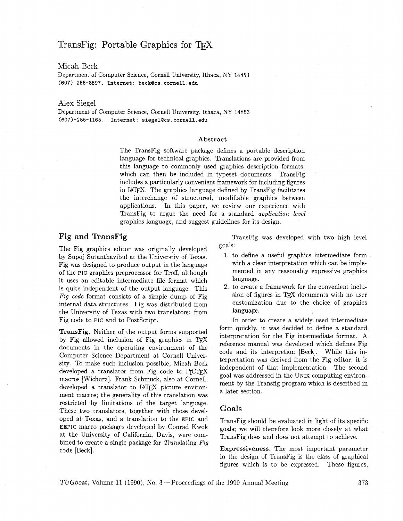# TransFig: Portable Graphics for TFX

Micah Beck

Department of Computer Science, Cornell University, Ithaca, NY 14853 **(607) 255-8597. Internet: beck@cs.cornell.edu** 

#### Alex Siege1

Department of Computer Science, Cornell University, Ithaca, NY 14853 **(6071-255-1165. Internet: siegel0cs.cornell.edu** 

#### **Abstract**

The TransFig software package defines a portable description language for technical graphics. Translations are provided from this language to commonly used graphics description formats, which can then be included in typeset documents. TransFig includes a particularly convenient framework for including figures in IAT<sub>F</sub>X. The graphics language defined by TransFig facilitates the interchange of structured, modifiable graphics between applications. In this paper, we review our experience with TransFig to argue the need for a standard application level graphics language, and suggest guidelines for its design.

#### **Fig and TransFig**

The Fig graphics editor was originally developed by Supoj Sutanthavibul at the Universtiy of Texas. Fig was designed to produce output in the language of the PIC graphics preprocessor for Troff, although it uses an editable intermediate file format which is quite independent of the output language. This Fig code format consists of a simple dump of Fig internal data structures. Fig was distributed from the University of Texas with two translators: from Fig code to PIC and to PostScript.

**TransFig.** Neither of the output forms supported by Fig allowed inclusion of Fig graphics in  $Tr X$ documents in the operating environment of the Computer Science Department at Cornell University. To make such inclusion possible, Micah Beck developed a translator from Fig code to PrCTFX macros [Wichura]. Frank Schmuck, also at Cornell, developed a translator to IATEX picture environment macros: the generality of this translation was restricted by limitations of the target language. These two translators, together with those developed at Texas, and a translation to the EPIC and EEPIC macro packages developed by Conrad Kwok at the University of California, Davis, were combined to create a single package for Translating Fig code [Beck].

TransFig was developed with two high level goals:

- 1. to define a useful graphics intermediate form with a clear interpretation which can be implemented in any reasonably expressive graphics language.
- 2. to create a framework for the convenient inclusion of figures in TFX documents with no user customization due to the choice of graphics language.

In order to create a widely used intermediate form quickly, it was decided to define a standard interpretation for the Fig intermediate format. A reference manual was developed which defines Fig code and its interpretion [Beck]. While this interpretation was derived from the Fig editor, it is independent of that implementation. The second goal was addressed in the UNIX computing environment by the Transfig program which is described in a later section.

#### **Goals**

TransFig should be evaluated in light of its specific goals; we will therefore look more closely at what TransFig does and does not attempt to achieve.

**Expressiveness.** The most important parameter in the design of TransFig is the class of graphical figures which is to be expressed. These figures,

TUGboat, Volume 11 (1990), No. 3 – Proceedings of the 1990 Annual Meeting 373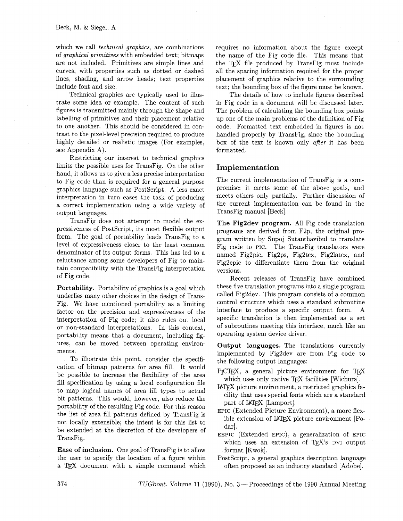which we call *technical graphics*, are combinations of graphical primitives with embedded text; bitmaps are not included. Primitives are simple lines and curves, with properties such as dotted or dashed lines, shading, and arrow heads; text properties include font and size.

Technical graphics are typically used to illustrate some idea or example. The content of such figures is transmitted mainly through the shape and labelling of primitives and their placement relative to one another. This should be considered in contrast to the pixel-level precision required to produce highly detailed or realistic images (For examples, see Appendix A).

Restricting our interest to technical graphics limits the possible uses for TransFig. On the other hand, it allows us to give a less precise interpretation to Fig code than is required for a general purpose graphics language such as Postscript. A less exact interpretation in turn eases the task of producing a correct implementation using a wide variety of output languages.

TransFig does not attempt to model the expressiveness of Postscript. its most flexible output form. The goal of portability leads TransFig to a level of expressiveness closer to the least common denominator of its output forms. This has led to a reluctance among some developers of Fig to maintain compatibility with the TransFig interpretation of Fig code.

**Portability.** Portability of graphics is a goal which underlies many other choices in the design of Trans-Fig. We have mentioned portability as a limiting factor on the precision and expressiveness of the interpretation of Fig code; it also rules out local or non-standard interpretations. In this context, portability means that a document, including figures, can be moved between operating environments.

To illustrate this point, consider the specification of bitmap patterns for area fill. It would be possible to increase the flexibility of the area fill specification by using a local configuration file to map logical names of area fill types to actual bit patterns. This would, however, also reduce the portability of the resulting Fig code. For this reason the list of area fill patterns defined by TransFig is not locally extensible; the intent is for this list to be extended at the discretion of the developers of TransFig.

**Ease of inclusion.** One goal of TransFig is to allow the user to specify the location of a figure within a TEX document with a simple command which requires no information about the figure except the name of the Fig code file. This means that the TFX file produced by TransFig must include all the spacing information required for the proper placement of graphics relative to the surrounding text; the bounding box of the figure must be known.

The details of how to include figures described in Fig code in a document will be discussed later. The problem of calculating the bounding box points up one of the main problems of the definition of Fig code. Formatted text embedded in figures is not handled properly by TransFig, since the bounding box of the text is known only after it has been formatted.

# **Implement at ion**

The current implementation of TransFig is a compromise; it meets some of the above goals, and meets others only partially. Further discussion of the current implementation can be found in the TransFig manual [Beck].

**The Fig2dev program.** All Fig code translation programs are derived from F2p, the original program written by Supoj Sutanthavibul to translate Fig code to PIC. The TransFig translators were named Fig2pic, Fig2ps, Fig2tex, Fig2latex, and Fig2epic to differentiate them from the original versions.

Recent releases of TransFig have combined these five translation programs into a single program called Fig2dev. This program consists of a common control structure which uses a standard subroutine interface to produce a specific output form. A specific translation is then implemented as a set of subroutines meeting this interface, much like an operating system device driver.

**Output languages.** The translations currently implemented by Fig2dev are from Fig code to the following output languages:

- P<sub>I</sub>CI<sub>F</sub>X, a general picture environment for T<sub>F</sub>X which uses only native TEX facilities [Wichura].
- IATFX picture environment, a restricted graphics facility that uses special fonts which are a standard part of IAT<sub>F</sub>X [Lamport].
- EPIC (Extended Picture Environment), a more flexible extension of  $IATFX$  picture environment [Podar.
- EEPIC (Extended EPIC), a generalization of EPIC which uses an extension of TFX's DVI output format [Kwok].
- PostScript, a general graphics description language often proposed as an industry standard [Adobe].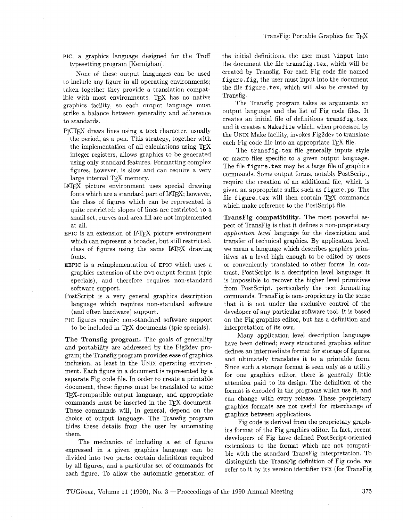PIC, a graphics language designed for the Troff typesetting program [Kernighan].

None of these output languages can be used to include any figure in all operating environments; taken together they provide a translation compatible with most environments. TEX has no native graphics facility, so each output language must strike a balance between generality and adherence to standards.

- P<sub>I</sub>CT<sub>E</sub>X draws lines using a text character, usually the period, as a pen. This strategy, together with the implementation of all calculations using  $T_FX$ integer registers, allows graphics to be generated using only standard features. Formatting complex figures. however, is slow and can require a very large internal TFX memory.
- IATFX picture environment uses special drawing fonts which are a standard part of  $IATFX$ ; however, the class of figures which can be represented is quite restricted; slopes of lines are restricted to a small set, curves and area fill are not implemented at all.
- $EPIC$  is an extension of  $IATFX$  picture environment which can represent a broader, but still restricted, class of figures using the same  $IATEX$  drawing fonts.
- EEPIC is a reimplementation of EPIC which uses a graphics extension of the DVI output format (tpic specials), and therefore requires non-standard software support.
- PostScript is a very general graphics description language which requires non-standard software (and often hardware) support.
- PIC figures require non-standard software support to be included in TFX documents (tpic specials).

**The Transfig program.** The goals of generality and portability are addressed by the Fig2dev program; the Transfig program provides ease of graphics inclusion, at least in the UNIX operating environment. Each figure in a document is represented by a separate Fig code file. In order to create a printable document, these figures must be translated to some TFX-compatible output language, and appropriate commands must be inserted in the TEX document. These commands will, in general, depend on the choice of output language. The Transfig program hides these details from the user by automating them.

The mechanics of including a set of figures expressed in a given graphics language can be divided into two parts: certain definitions required by all figures, and a particular set of commands for each figure. To allow the automatic generation of the initial definitions, the user must \input into the document the file transfig.tex, which will be created by Transfig. For each Fig code file named figure .fig, the user must input into the document the file figure. tex, which will also be created by Transfig.

The Transfig program takes as arguments an output language and the list of Fig code files. It creates an initial file of definitions transfig.tex, and it creates a Makef ile which, when processed by the UNIX Make facility, invokes Fig2dev to translate each Fig code file into an appropriate  $T_F X$  file.

The transfig.tex file generally inputs style or macro files specific to a given output language. The file figure. tex may be a large file of graphics commands. Some output forms, notably PostScript, require the creation of an additional file. which is given an appropriate suffix such as figure **.ps.** The file figure tex will then contain  $TrX$  commands which make reference to the PostScript file.

**TransFig compatibility.** The most powerful aspect of TransFig is that it defines a non-proprietary application level language for the description and transfer of technical graphics. By application level, we mean a language which describes graphics primitives at a level high enough to be edited by users or conveniently translated to other forms. In contrast, PostScript is a description level language; it is impossible to recover the higher level primitives from PostScript, particularly the text formatting commands. TransFig is non-proprietary in the sense that it is not under the exclusive control of the developer of any particular software tool. It is based on the Fig graphics editor, but has a definition and interpretation of its own.

Many application level description languages have been defined; every structured graphics editor defines an intermediate format for storage of figures, and ultimately translates it to a printable form. Since such a storage format is seen only as a utility for one graphics editor, there is generally little attention paid to its design. The definition of the format is encoded in the programs which use it, and can change with every release. These proprietary graphics formats are not useful for interchange of graphics between applications.

Fig code is derived from the proprietary graphics format of the Fig graphics editor. In fact, recent developers of Fig have defined PostScript-oriented extensions to the format which are not compatible with the standard TransFig interpretation. To distinguish the TransFig definition of Fig code, we refer to it by its version identifier TFX (for TransFig

*TUGboat,* Volume 11 (1990), No. **3** -Proceedings of the 1990 Annual Meeting *375*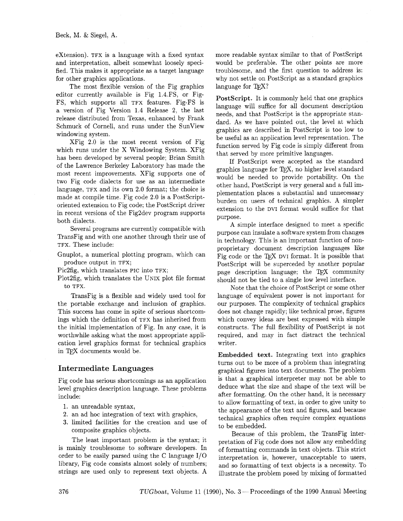extension). TFX is a language with a fixed syntax and interpretation, albeit somewhat loosely specified. This makes it appropriate as a target language for other graphics applications.

The most flexible version of the Fig graphics editor currently available is Fig 1.4.FS, or Fig-FS, which supports all TFX features. Fig-FS is a version of Fig Version 1.4 Release 2, the last release distributed from Texas, enhanced by Frank Schmuck of Cornell, and runs under the SunView windowing system.

XFig 2.0 is the most recent version of Fig which runs under the X Windowing System. XFig has been developed by several people; Brian Smith of the Lawrence Berkeley Laboratory has made the most recent improvements. XFig supports one of two Fig code dialects for use as an intermediate language, TFX and its own 2.0 format; the choice is made at compile time. Fig code 2.0 is a PostScriptoriented extension to Fig code; the PostScript driver in recent versions of the Fig2dev program supports both dialects.

Several programs are currently compatible with TransFig and with one another through their use of TFX. These include:

Gnuplot, a numerical plotting program, which can produce output in TFX;

Pic2fig, which translates PIC into TFX;

Plot2fig, which translates the UNIX plot file format to TFX.

TransFig is a flexible and widely used tool for the portable exchange and inclusion of graphics. This success has come in spite of serious shortcomings which the definition of TFX has inherited from the initial implementation of Fig. In any case. it is worthwhile asking what the most appropriate application level graphics format for technical graphics in TFX documents would be.

## **Intermediate Languages**

Fig code has serious shortcomings as an application level graphics description language. These problems include:

- 1. an unreadable syntax,
- 2. an ad hoc integration of text with graphics,
- **3.** limited facilities for the creation and use of composite graphics objects.

The least important problem is the syntax; it is mainly troublesome to software developers. In order to be easily parsed using the C language I/O library, Fig code consists almost solely of numbers; strings are used only to represent text objects. **A** 

more readable syntax similar to that of PostScript would be preferable. The other points are more troublesome, and the first question to address is: why not settle on PostScript as a standard graphics language for TFX?

PostScript. It is commonly held that one graphics language will suffice for all document description needs, and that PostScript is the appropriate standard. As we have pointed out, the level at which graphics are described in PostScript is too low to be useful as an application level representation. The function served by Fig code is simply different from that served by more primitive languages.

If PostScript were accepted as the standard graphics language for T<sub>F</sub>X, no higher level standard would be needed to provide portability. On the other hand, PostScript is very general and a full implementation places a substantial and unnecessary burden on users of technical graphics. A simpler extension to the DVI format would suffice for that purpose.

A simple interface designed to meet a specific purpose can insulate a software system from changes in technology. This is an important function of nonproprietary document description languages like Fig code or the TFX DVI format. It is possible that PostScript will be superceded by another popular page description language; the TEX community should not be tied to a single low level interface.

Note that the choice of PostScript or some other language of equivalent power is not important for our purposes. The complexity of technical graphics does not change rapidly; like technical prose, figures which convey ideas are best expressed with simple constructs. The full flexibility of PostScript is not required, and may in fact distract the technical writer.

**Embedded text.** Integrating text into graphics turns out to be more of a problem than integrating graphical figures into text documents. The problem is that a graphical interpreter may not be able to deduce what the size and shape of the text will be after formatting. On the other hand, it is necessary to allow formatting of text, in order to give unity to the appearance of the text and figures, and because technical graphics often require complex equations to be embedded.

Because of this problem, the TransFig interpretation of Fig code does not allow any embedding of formatting commands in text objects. This strict interpretation is, however, unacceptable to users, and so formatting of text objects is a necessity. To illustrate the problem posed by mixing of formatted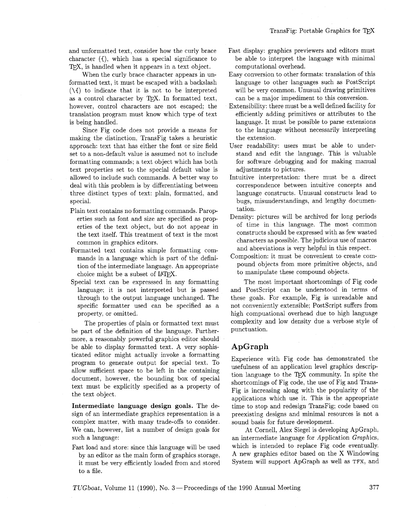and unformatted text, consider how the curly brace character  $(f)$ , which has a special significance to TFX, is handled when it appears in a text object.

When the curly brace character appears in unformatted text, it must be escaped with a backslash  $(\lambda f)$  to indicate that it is not to be interpreted as a control character by TFX. In formatted text, however, control characters are not escaped; the translation program must know which type of text is being handled.

Since Fig code does not provide a means for making the distinction, TransFig takes a heuristic approach: text that has either the font or size field set to a non-default value is assumed not to include formatting commands; a text object which has both text properties set to the special default value is allowed to include such commands. A better way to deal with this problem is by differentiating between three distinct types of text: plain, formatted, and special.

- Plain text contains no formatting commands. Paroperties such as font and size are specified as properties of the text object, but do not appear in the text itself. This treatment of text is the most common in graphics editors.
- Formatted text contains simple formatting commands in a language which is part of the definition of the intermediate language. An appropriate choice might be a subset of IATFX.
- Special text can be expressed in any formatting language; it is not interpreted but is passed through to the output language unchanged. The specific formatter used can be specified as a property. or omitted.

The properties of plain or formatted text must be part of the definition of the language. Furthermore, a reasonably powerful graphics editor should be able to display formatted text. A very sophisticated editor might actually invoke a formatting program to generate output for special text. To allow sufficient space to be left in the containing document, however, the bounding box of special text must be explicitly specified as a property of the text object.

**Intermediate language design goals.** The design of an intermediate graphics representation is a complex matter, with many trade-offs to consider. We can, however, list a number of design goals for such a language:

Fast load and store: since this language will be used by an editor as the main form of graphics storage, it must be very efficiently loaded from and stored to a file.

- Fast display: graphics previewers and editors must be able to interpret the language with minimal computational overhead.
- Easy conversion to other formats: translation of this language to other languages such as PostScript will be very common. Unusual drawing primitives can be a major impediment to this conversion.
- Extensibility: there must be a well defined facility for efficiently adding primitives or attributes to the language. It must be possible to parse extensions to the language without necessarily interpreting the extension.
- User readability: users must be able to understand and edit the language. This is valuable for software debugging and for making manual adjustments to pictures.
- Intuitive interpretation: there must be a direct correspondence between intuitive concepts and language constructs. Unusual constructs lead to bugs, misunderstandings, and lengthy documentation.
- Density: pictures will be archived for long periods of time in this language. The most common constructs should be expressed with as few wasted characters as possible. The judicious use of macros and abreviations is very helpful in this respect.
- Composition: it must be convenient to create compound objects from more primitive objects, and to manipulate these compound objects.

The most important shortcomings of Fig code and PostScript can be understood in terms of these goals. For example, Fig is unreadable and not conveniently extensible; PostScript suffers from high compuational overhead due to high language complexity and low density due a verbose style of punctuation.

### **ApGraph**

Experience with Fig code has demonstrated the usefulness of an application level graphics description language to the TFX community. In spite the shortcomings of Fig code, the use of Fig and Trans-Fig is increasing along with the popularity of the applications which use it. This is the appropriate time to stop and redesign TransFig; code based on preexisting designs and minimal resources is not a sound basis for future development.

At Cornell, Alex Siegel is developing ApGraph, an intermediate language for Application Graphics, which is intended to replace Fig code eventually. **A** new graphics editor based on the X Windowing System will support ApGraph as well as TFX, and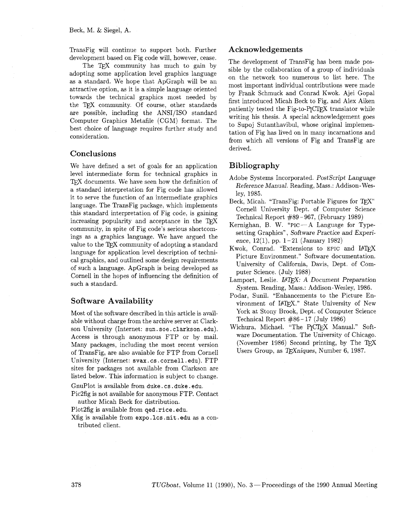TransFig will continue to support both. Further development based on Fig code will, however, cease.

as a standard. We hope that ApGraph will be an<br>attractive option, as it is a simple language oriented<br>towards the technical graphics most needed by<br>the T<sub>E</sub>X community. Of course, other standards<br>comparation including the

#### **Conclusions**

We have defined a set of goals for an application **Bibliography**  level intermediate form for technical graphics in TEX documents. We have seen how the definition of a standard interpretation for Fig code has allowed it to serve the function of an intermediate graphics language. The TransFig package, which implements this standard interpretation of Fig code, is gaining increasing popularity and acceptance in the TFX community, in spite of Fig code's serious shortcomings as a graphics language. We have argued the value to the TFX community of adopting a standard language for application level description of technical graphics, and outlined some design requirements of such a language. ApGraph is being developed as Cornell in the hopes of influencing the definition of such a standard.

#### **Software Availability**

Most of the software described in this article is available without charge from the archive server at Clarkson University (Internet: sun. soe . clarkson. edu). Access is through anonymous FTP or by mail. Many packages, including the most recent version of TransFig, are also avaiable for FTP from Cornell University (Internet: svax. cs . cornell. edu). FTP sites for packages not available from Clarkson are listed below. This information is subject to change.

GnuPlot is available from duke. cs .duke. edu.

Pic2fig is not available for anonymous FTP. Contact author Micah Beck for distribution.

Plot 2fig is available from qed . rice. edu.

Xfig is available from expo. lcs .mit . edu as a contributed client.

#### **Acknowledgements**

The development of TransFig has been made pos-<br>The TEX community has much to gain by<br>adopting some application level graphics language on the network too numerous to list here. The are possible, including the ANSI/ISO standard<br>Computer Graphics Metafile (CGM) format. The<br>best choice of language requires further study and<br>consideration.<br>consideration.<br>tation of Fig has lived on in many incarnations an derived.

- Adobe Systems Incorporated. PostScript Language Reference Manual. Reading, Mass.: Addison-Wesley, 1985.
- Beck, Micah. "TransFig: Portable Figures for TFX" Cornell University Dept. of Computer Science Technical Report #89 - 967, (February 1989)
- Kernighan, B. W. "PIC-A Language for Typesetting Graphics", Software Practice and Experience, 12(1), pp. 1-21 (January 1982)
- Kwok, Conrad. "Extensions to EPIC and IATFX Picture Environment." Software documentation. University of California, Davis, Dept. of Computer Science. (July 1988)
- Lamport, Leslie. *IATFX: A Document Preparation* System. Reading, Mass.: Addison-Wesley, 1986.
- Podar, Sunil. "Enhancements to the Picture Environment of IATFX." State University of New York at Stony Brook, Dept. of Computer Science Technical Report  $#86-17$  (July 1986)
- Wichura, Michael. "The PrCTFX Manual." Software Documentation. The University of Chicago. (November 1986) Second printing, by The T $\overline{r}$ X Users Group, as TEXniques, Number 6, 1987.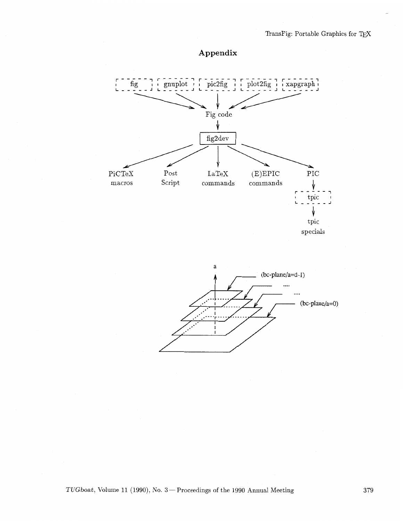# **Appendix**





TUGboat, Volume 11 (1990), No. 3 - Proceedings of the 1990 Annual Meeting